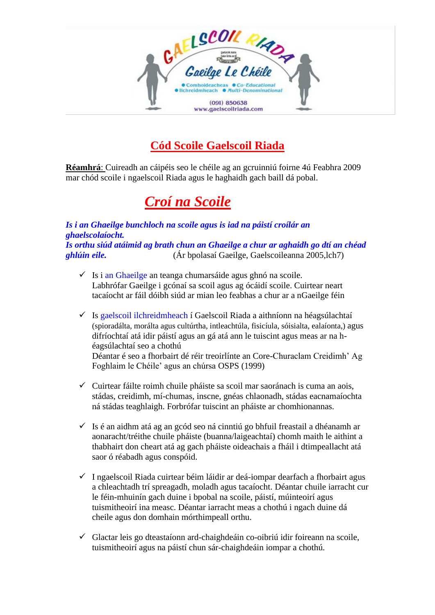

# **Cód Scoile Gaelscoil Riada**

**Réamhrá**: Cuireadh an cáipéis seo le chéile ag an gcruinniú foirne 4ú Feabhra 2009 mar chód scoile i ngaelscoil Riada agus le haghaidh gach baill dá pobal.

# *Croí na Scoile*

*Is i an Ghaeilge bunchloch na scoile agus is iad na páistí croílár an ghaelscolaíocht. Is orthu siúd atáimid ag brath chun an Ghaeilge a chur ar aghaidh go dtí an chéad ghlúin eile.* (Ár bpolasaí Gaeilge, Gaelscoileanna 2005,lch7)

- $\checkmark$  Is i an Ghaeilge an teanga chumarsáide agus ghnó na scoile. Labhrófar Gaeilge i gcónaí sa scoil agus ag ócáidí scoile. Cuirtear neart tacaíocht ar fáil dóibh siúd ar mian leo feabhas a chur ar a nGaeilge féin
- $\checkmark$  Is gaelscoil ilchreidmheach í Gaelscoil Riada a aithníonn na héagsúlachtaí (spioradálta, morálta agus cultúrtha, intleachtúla, fisicíula, sóisialta, ealaíonta,) agus difríochtaí atá idir páistí agus an gá atá ann le tuiscint agus meas ar na héagsúlachtaí seo a chothú Déantar é seo a fhorbairt dé réir treoirlínte an Core-Churaclam Creidimh' Ag Foghlaim le Chéile' agus an chúrsa OSPS (1999)
- $\checkmark$  Cuirtear fáilte roimh chuile pháiste sa scoil mar saoránach is cuma an aois, stádas, creidimh, mí-chumas, inscne, gnéas chlaonadh, stádas eacnamaíochta ná stádas teaghlaigh. Forbrófar tuiscint an pháiste ar chomhionannas.
- $\checkmark$  Is é an aidhm atá ag an gcód seo ná cinntiú go bhfuil freastail a dhéanamh ar aonaracht/tréithe chuile pháiste (buanna/laigeachtaí) chomh maith le aithint a thabhairt don cheart atá ag gach pháiste oideachais a fháil i dtimpeallacht atá saor ó réabadh agus conspóid.
- $\checkmark$  I ngaelscoil Riada cuirtear béim láidir ar deá-iompar dearfach a fhorbairt agus a chleachtadh trí spreagadh, moladh agus tacaíocht. Déantar chuile iarracht cur le féin-mhuinín gach duine i bpobal na scoile, páistí, múinteoirí agus tuismitheoirí ina measc. Déantar iarracht meas a chothú i ngach duine dá cheile agus don domhain mórthimpeall orthu.
- $\checkmark$  Glactar leis go dteastaíonn ard-chaighdeáin co-oibriú idir foireann na scoile, tuismitheoirí agus na páistí chun sár-chaighdeáin iompar a chothú.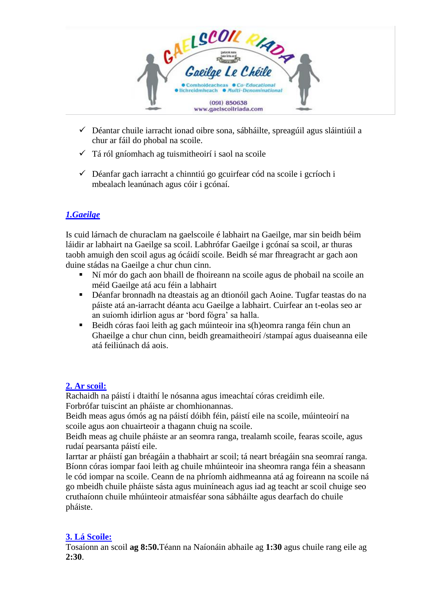

- ✓ Déantar chuile iarracht ionad oibre sona, sábháilte, spreagúil agus sláintiúil a chur ar fáil do phobal na scoile.
- $\checkmark$  Tá ról gníomhach ag tuismitheoirí i saol na scoile
- $\checkmark$  Déanfar gach iarracht a chinntiú go gcuirfear cód na scoile i gcríoch i mbealach leanúnach agus cóir i gcónaí.

# *1.Gaeilge*

Is cuid lárnach de churaclam na gaelscoile é labhairt na Gaeilge, mar sin beidh béim láidir ar labhairt na Gaeilge sa scoil. Labhrófar Gaeilge i gcónaí sa scoil, ar thuras taobh amuigh den scoil agus ag ócáidí scoile. Beidh sé mar fhreagracht ar gach aon duine stádas na Gaeilge a chur chun cinn.

- Ní mór do gach aon bhaill de fhoireann na scoile agus de phobail na scoile an méid Gaeilge atá acu féin a labhairt
- Déanfar bronnadh na dteastais ag an dtionóil gach Aoine. Tugfar teastas do na páiste atá an-iarracht déanta acu Gaeilge a labhairt. Cuirfear an t-eolas seo ar an suíomh idirlíon agus ar 'bord fógra' sa halla.
- Beidh córas faoi leith ag gach múinteoir ina s(h)eomra ranga féin chun an Ghaeilge a chur chun cinn, beidh greamaitheoirí /stampaí agus duaiseanna eile atá feiliúnach dá aois.

# **2. Ar scoil:**

Rachaidh na páistí i dtaithí le nósanna agus imeachtaí córas creidimh eile. Forbrófar tuiscint an pháiste ar chomhionannas.

Beidh meas agus ómós ag na páistí dóibh féin, páistí eile na scoile, múinteoirí na scoile agus aon chuairteoir a thagann chuig na scoile.

Beidh meas ag chuile pháiste ar an seomra ranga, trealamh scoile, fearas scoile, agus rudaí pearsanta páistí eile.

Iarrtar ar pháistí gan bréagáin a thabhairt ar scoil; tá neart bréagáin sna seomraí ranga. Bíonn córas iompar faoi leith ag chuile mhúinteoir ina sheomra ranga féin a sheasann le cód iompar na scoile. Ceann de na phríomh aidhmeanna atá ag foireann na scoile ná go mbeidh chuile pháiste sásta agus muiníneach agus iad ag teacht ar scoil chuige seo cruthaíonn chuile mhúinteoir atmaisféar sona sábháilte agus dearfach do chuile pháiste.

### **3. Lá Scoile:**

Tosaíonn an scoil **ag 8:50.**Téann na Naíonáin abhaile ag **1:30** agus chuile rang eile ag **2:30**.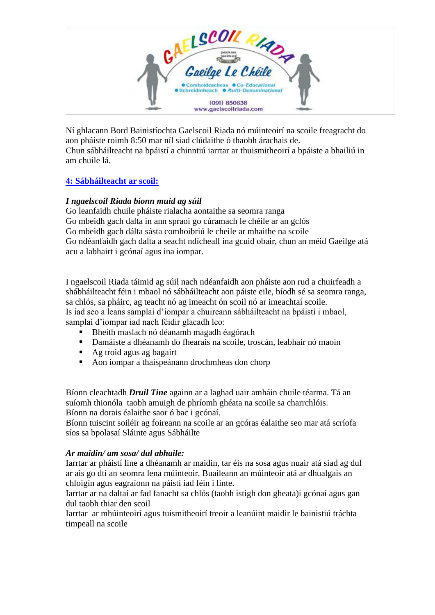

Ní ghlacann Bord Bainistíochta Gaelscoil Riada nó múinteoirí na scoile freagracht do aon pháiste roimh 8:50 mar níl siad clúdaithe ó thaobh árachais de. Chun sábháilteacht na bpáistí a chinntiú iarrtar ar thuismitheoirí a bpáiste a bhailiú in am chuile lá.

# **4: Sábháilteacht ar scoil:**

# *I ngaelscoil Riada bíonn muid ag súil*

Go leanfaidh chuile pháiste rialacha aontaithe sa seomra ranga Go mbeidh gach dalta in ann spraoi go cúramach le chéile ar an gclós Go mbeidh gach dálta sásta comhoibriú le cheile ar mhaithe na scoile Go ndéanfaidh gach dalta a seacht ndícheall ina gcuid obair, chun an méid Gaeilge atá acu a labhairt i gcónaí agus ina iompar.

I ngaelscoil Riada táimid ag súil nach ndéanfaidh aon pháiste aon rud a chuirfeadh a shábháilteacht féin i mbaol nó sábháilteacht aon páiste eile, bíodh sé sa seomra ranga, sa chlós, sa pháirc, ag teacht nó ag imeacht ón scoil nó ar imeachtaí scoile. Is iad seo a leans samplaí d'iompar a chuireann sábháilteacht na bpáistí i mbaol, samplaí d'iompar iad nach féidir glacadh leo:

- Bheith maslach nó déanamh magadh éagórach
- Damáiste a dhéanamh do fhearais na scoile, troscán, leabhair nó maoin
- Ag troid agus ag bagairt
- Aon iompar a thaispeánann drochmheas don chorp

Bíonn cleachtadh *Druil Tine* againn ar a laghad uair amháin chuile téarma. Tá an suíomh thionóla taobh amuigh de phríomh ghéata na scoile sa charrchlóis. Bíonn na dorais éalaithe saor ó bac i gcónaí.

Bíonn tuiscint soiléir ag foireann na scoile ar an gcóras éalaithe seo mar atá scríofa síos sa bpolasaí Sláinte agus Sábháilte

#### *Ar maidin/ am sosa/ dul abhaile:*

Iarrtar ar pháistí line a dhéanamh ar maidin, tar éis na sosa agus nuair atá siad ag dul ar ais go dtí an seomra lena múinteoir. Buaileann an múinteoir atá ar dhualgais an chloigín agus eagraíonn na páistí iad féin i línte.

Iarrtar ar na daltaí ar fad fanacht sa chlós (taobh istigh don gheata)i gcónaí agus gan dul taobh thiar den scoil

Iarrtar ar mhúinteoirí agus tuismitheoirí treoir a leanúint maidir le bainistiú tráchta timpeall na scoile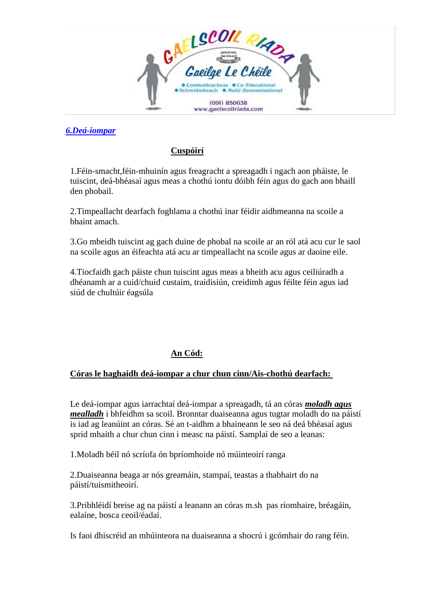

### *6.Deá-iompar*

#### **Cuspóirí**

1.Féin-smacht,féin-mhuinín agus freagracht a spreagadh i ngach aon pháiste, le tuiscint, deá-bhéasaí agus meas a chothú iontu dóibh féin agus do gach aon bhaill den phobail.

2.Timpeallacht dearfach foghlama a chothú inar féidir aidhmeanna na scoile a bhaint amach.

3.Go mbeidh tuiscint ag gach duine de phobal na scoile ar an ról atá acu cur le saol na scoile agus an éifeachta atá acu ar timpeallacht na scoile agus ar daoine eile.

4.Tiocfaidh gach páiste chun tuiscint agus meas a bheith acu agus ceiliúradh a dhéanamh ar a cuid/chuid custaim, traidisiún, creidimh agus féilte féin agus iad siúd de chultúir éagsúla

# **An Cód:**

#### **Córas le haghaidh deá-iompar a chur chun cinn/Ais-chothú dearfach:**

Le deá-iompar agus iarrachtaí deá-iompar a spreagadh, tá an córas *moladh agus mealladh* i bhfeidhm sa scoil. Bronntar duaiseanna agus tugtar moladh do na páistí is iad ag leanúint an córas. Sé an t-aidhm a bhaineann le seo ná deá bhéasaí agus sprid mhaith a chur chun cinn i measc na páistí. Samplaí de seo a leanas:

1.Moladh béil nó scríofa ón bpríomhoide nó múinteoirí ranga

2.Duaiseanna beaga ar nós greamáin, stampaí, teastas a thabhairt do na páistí/tuismitheoirí.

3.Pribhléidí breise ag na páistí a leanann an córas m.sh pas ríomhaire, bréagáin, ealaíne, bosca ceoil/éadaí.

Is faoi dhiscréid an mhúinteora na duaiseanna a shocrú i gcómhair do rang féin.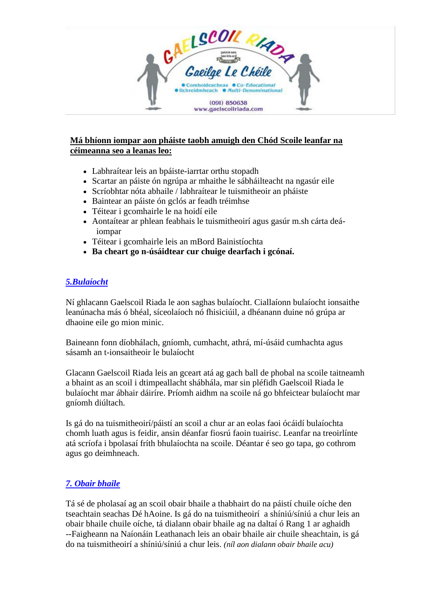

#### **Má bhíonn iompar aon pháiste taobh amuigh den Chód Scoile leanfar na céimeanna seo a leanas leo:**

- Labhraítear leis an bpáiste-iarrtar orthu stopadh
- Scartar an páiste ón ngrúpa ar mhaithe le sábháilteacht na ngasúr eile
- Scríobhtar nóta abhaile / labhraítear le tuismitheoir an pháiste
- Baintear an páiste ón gclós ar feadh tréimhse
- Téitear i gcomhairle le na hoidí eile
- Aontaítear ar phlean feabhais le tuismitheoirí agus gasúr m.sh cárta deáiompar
- Téitear i gcomhairle leis an mBord Bainistíochta
- **Ba cheart go n-úsáidtear cur chuige dearfach i gcónaí.**

#### *5.Bulaíocht*

Ní ghlacann Gaelscoil Riada le aon saghas bulaíocht. Ciallaíonn bulaíocht ionsaithe leanúnacha más ó bhéal, síceolaíoch nó fhisiciúil, a dhéanann duine nó grúpa ar dhaoine eile go mion minic.

Baineann fonn díobhálach, gníomh, cumhacht, athrá, mí-úsáid cumhachta agus sásamh an t-ionsaitheoir le bulaíocht

Glacann Gaelscoil Riada leis an gceart atá ag gach ball de phobal na scoile taitneamh a bhaint as an scoil i dtimpeallacht shábhála, mar sin pléfidh Gaelscoil Riada le bulaíocht mar ábhair dáiríre. Príomh aidhm na scoile ná go bhfeictear bulaíocht mar gníomh diúltach.

Is gá do na tuismitheoirí/páistí an scoil a chur ar an eolas faoi ócáidí bulaíochta chomh luath agus is feidir, ansin déanfar fiosrú faoin tuairisc. Leanfar na treoirlínte atá scríofa i bpolasaí fríth bhulaíochta na scoile. Déantar é seo go tapa, go cothrom agus go deimhneach.

# *7. Obair bhaile*

Tá sé de pholasaí ag an scoil obair bhaile a thabhairt do na páistí chuile oíche den tseachtain seachas Dé hAoine. Is gá do na tuismitheoirí a shíniú/síniú a chur leis an obair bhaile chuile oíche, tá dialann obair bhaile ag na daltaí ó Rang 1 ar aghaidh --Faigheann na Naíonáin Leathanach leis an obair bhaile air chuile sheachtain, is gá do na tuismitheoirí a shíniú/síniú a chur leis. *(níl aon dialann obair bhaile acu)*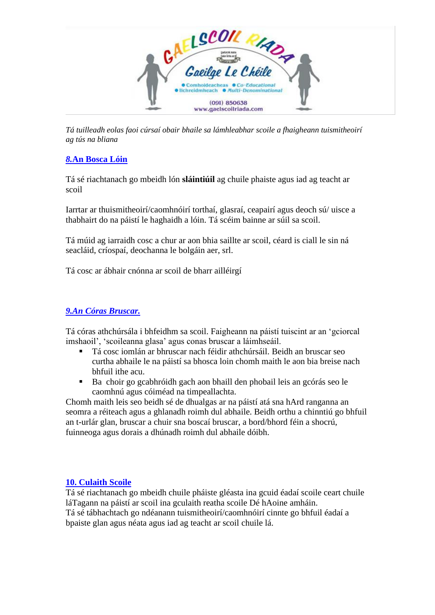

*Tá tuilleadh eolas faoi cúrsaí obair bhaile sa lámhleabhar scoile a fhaigheann tuismitheoirí ag tús na bliana*

### *8.***An Bosca Lóin**

Tá sé riachtanach go mbeidh lón **sláintiúil** ag chuile phaiste agus iad ag teacht ar scoil

Iarrtar ar thuismitheoirí/caomhnóirí torthaí, glasraí, ceapairí agus deoch sú/ uisce a thabhairt do na páistí le haghaidh a lóin. Tá scéim bainne ar súil sa scoil.

Tá múid ag iarraidh cosc a chur ar aon bhia saillte ar scoil, céard is ciall le sin ná seacláid, críospaí, deochanna le bolgáin aer, srl.

Tá cosc ar ábhair cnónna ar scoil de bharr ailléirgí

#### *9.An Córas Bruscar.*

Tá córas athchúrsála i bhfeidhm sa scoil. Faigheann na páistí tuiscint ar an 'gciorcal imshaoil', 'scoileanna glasa' agus conas bruscar a láimhseáil.

- Tá cosc iomlán ar bhruscar nach féidir athchúrsáil. Beidh an bruscar seo curtha abhaile le na páistí sa bhosca loin chomh maith le aon bia breise nach bhfuil ithe acu.
- Ba choir go gcabhróidh gach aon bhaill den phobail leis an gcórás seo le caomhnú agus cóiméad na timpeallachta.

Chomh maith leis seo beidh sé de dhualgas ar na páistí atá sna hArd ranganna an seomra a réiteach agus a ghlanadh roimh dul abhaile. Beidh orthu a chinntiú go bhfuil an t-urlár glan, bruscar a chuir sna boscaí bruscar, a bord/bhord féin a shocrú, fuinneoga agus dorais a dhúnadh roimh dul abhaile dóibh.

#### **10. Culaith Scoile**

Tá sé riachtanach go mbeidh chuile pháiste gléasta ina gcuid éadaí scoile ceart chuile láTagann na páistí ar scoil ina gculaith reatha scoile Dé hAoine amháin.

Tá sé tábhachtach go ndéanann tuismitheoirí/caomhnóirí cinnte go bhfuil éadaí a bpaiste glan agus néata agus iad ag teacht ar scoil chuile lá.